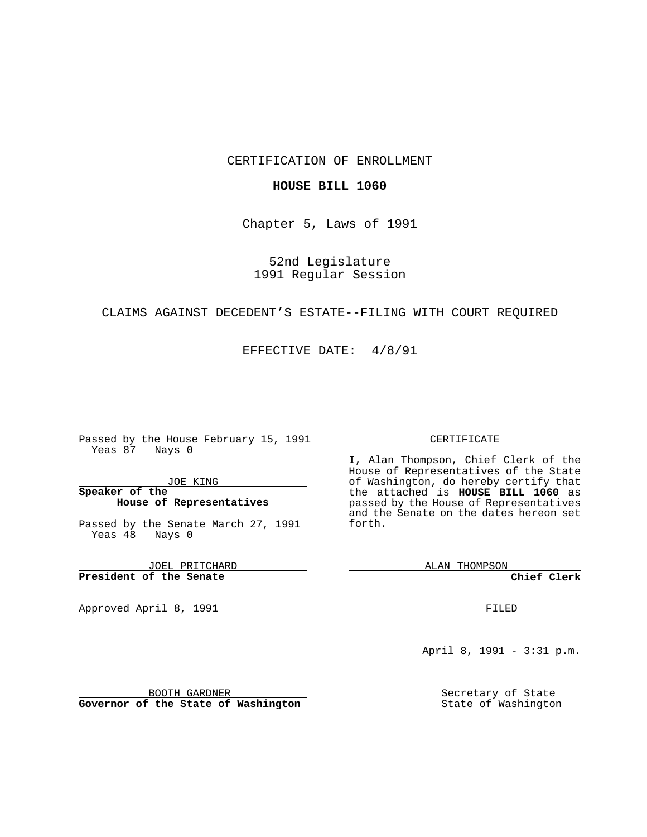## CERTIFICATION OF ENROLLMENT

#### **HOUSE BILL 1060**

Chapter 5, Laws of 1991

## 52nd Legislature 1991 Regular Session

## CLAIMS AGAINST DECEDENT'S ESTATE--FILING WITH COURT REQUIRED

### EFFECTIVE DATE: 4/8/91

Passed by the House February 15, 1991 Yeas 87 Nays 0

JOE KING

## **Speaker of the House of Representatives**

Passed by the Senate March 27, 1991 Yeas 48 Nays 0

JOEL PRITCHARD **President of the Senate**

Approved April 8, 1991

#### CERTIFICATE

I, Alan Thompson, Chief Clerk of the House of Representatives of the State of Washington, do hereby certify that the attached is **HOUSE BILL 1060** as passed by the House of Representatives and the Senate on the dates hereon set forth.

ALAN THOMPSON

**Chief Clerk**

FILED

April 8, 1991 - 3:31 p.m.

Secretary of State State of Washington

BOOTH GARDNER **Governor of the State of Washington**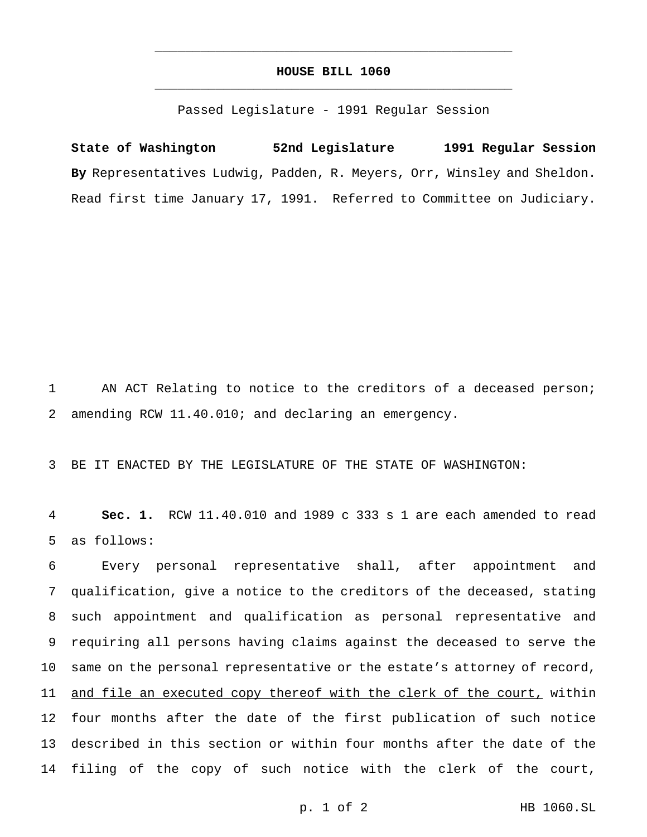# **HOUSE BILL 1060** \_\_\_\_\_\_\_\_\_\_\_\_\_\_\_\_\_\_\_\_\_\_\_\_\_\_\_\_\_\_\_\_\_\_\_\_\_\_\_\_\_\_\_\_\_\_\_

\_\_\_\_\_\_\_\_\_\_\_\_\_\_\_\_\_\_\_\_\_\_\_\_\_\_\_\_\_\_\_\_\_\_\_\_\_\_\_\_\_\_\_\_\_\_\_

Passed Legislature - 1991 Regular Session

**State of Washington 52nd Legislature 1991 Regular Session By** Representatives Ludwig, Padden, R. Meyers, Orr, Winsley and Sheldon. Read first time January 17, 1991. Referred to Committee on Judiciary.

1 AN ACT Relating to notice to the creditors of a deceased person; 2 amending RCW 11.40.010; and declaring an emergency.

3 BE IT ENACTED BY THE LEGISLATURE OF THE STATE OF WASHINGTON:

4 **Sec. 1.** RCW 11.40.010 and 1989 c 333 s 1 are each amended to read 5 as follows:

 Every personal representative shall, after appointment and qualification, give a notice to the creditors of the deceased, stating such appointment and qualification as personal representative and requiring all persons having claims against the deceased to serve the same on the personal representative or the estate's attorney of record, 11 and file an executed copy thereof with the clerk of the court, within four months after the date of the first publication of such notice described in this section or within four months after the date of the filing of the copy of such notice with the clerk of the court,